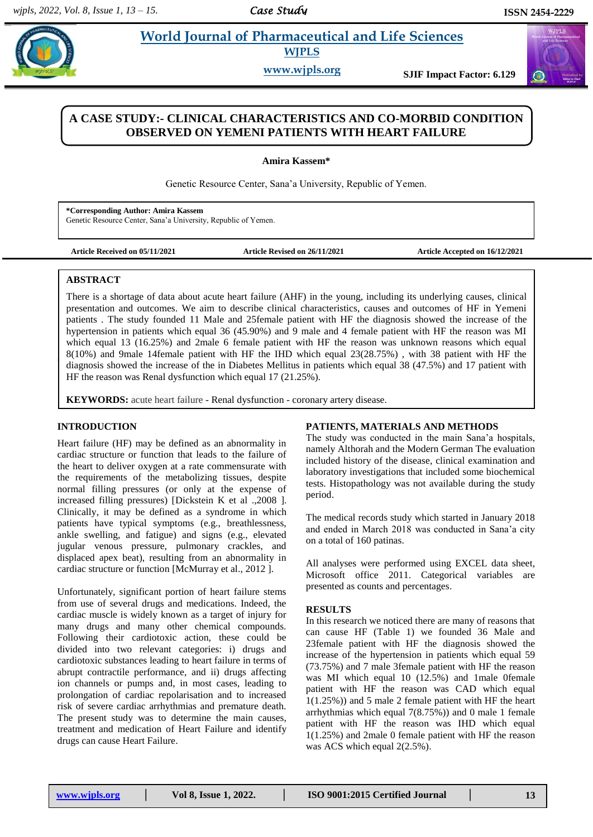# **World Journal of Pharmaceutical and Life Sciences WJPLS**

**www.wjpls.org SJIF Impact Factor: 6.129**



## **A CASE STUDY:- CLINICAL CHARACTERISTICS AND CO-MORBID CONDITION OBSERVED ON YEMENI PATIENTS WITH HEART FAILURE**

**Amira Kassem\***

Genetic Resource Center, Sana'a University, Republic of Yemen.

**\*Corresponding Author: Amira Kassem** Genetic Resource Center, Sana'a University, Republic of Yemen.

**Article Received on 05/11/2021 Article Revised on 26/11/2021 Article Accepted on 16/12/2021**

### **ABSTRACT**

.

There is a shortage of data about acute heart failure (AHF) in the young, including its underlying causes, clinical presentation and outcomes. We aim to describe clinical characteristics, causes and outcomes of HF in Yemeni patients . The study founded 11 Male and 25female patient with HF the diagnosis showed the increase of the hypertension in patients which equal 36 (45.90%) and 9 male and 4 female patient with HF the reason was MI which equal 13 (16.25%) and 2male 6 female patient with HF the reason was unknown reasons which equal 8(10%) and 9male 14female patient with HF the IHD which equal 23(28.75%) , with 38 patient with HF the diagnosis showed the increase of the in Diabetes Mellitus in patients which equal 38 (47.5%) and 17 patient with HF the reason was Renal dysfunction which equal 17 (21.25%).

**KEYWORDS:** acute heart failure - Renal dysfunction - coronary artery disease.

### **INTRODUCTION**

Heart failure (HF) may be defined as an abnormality in cardiac structure or function that leads to the failure of the heart to deliver oxygen at a rate commensurate with the requirements of the metabolizing tissues, despite normal filling pressures (or only at the expense of increased filling pressures) [Dickstein K et al .,2008 ]. Clinically, it may be defined as a syndrome in which patients have typical symptoms (e.g., breathlessness, ankle swelling, and fatigue) and signs (e.g., elevated jugular venous pressure, pulmonary crackles, and displaced apex beat), resulting from an abnormality in cardiac structure or function [McMurray et al., 2012 ].

Unfortunately, significant portion of heart failure stems from use of several drugs and medications. Indeed, the 1 cardiac muscle is widely known as a target of injury for many drugs and many other chemical compounds. Following their cardiotoxic action, these could be divided into two relevant categories: i) drugs and cardiotoxic substances leading to heart failure in terms of abrupt contractile performance, and ii) drugs affecting ion channels or pumps and, in most cases, leading to prolongation of cardiac repolarisation and to increased risk of severe cardiac arrhythmias and premature death. The present study was to determine the main causes, treatment and medication of Heart Failure and identify drugs can cause Heart Failure.

### **PATIENTS, MATERIALS AND METHODS**

The study was conducted in the main Sana'a hospitals, namely Althorah and the Modern German The evaluation included history of the disease, clinical examination and laboratory investigations that included some biochemical tests. Histopathology was not available during the study period.

The medical records study which started in January 2018 and ended in March 2018 was conducted in Sana'a city on a total of 160 patinas.

All analyses were performed using EXCEL data sheet, Microsoft office 2011. Categorical variables are presented as counts and percentages.

### **RESULTS**

In this research we noticed there are many of reasons that can cause HF (Table 1) we founded 36 Male and 23female patient with HF the diagnosis showed the increase of the hypertension in patients which equal 59 (73.75%) and 7 male 3female patient with HF the reason was MI which equal 10 (12.5%) and 1male 0female patient with HF the reason was CAD which equal 1(1.25%)) and 5 male 2 female patient with HF the heart arrhythmias which equal  $7(8.75%)$  and 0 male 1 female patient with HF the reason was IHD which equal 1(1.25%) and 2male 0 female patient with HF the reason was ACS which equal 2(2.5%).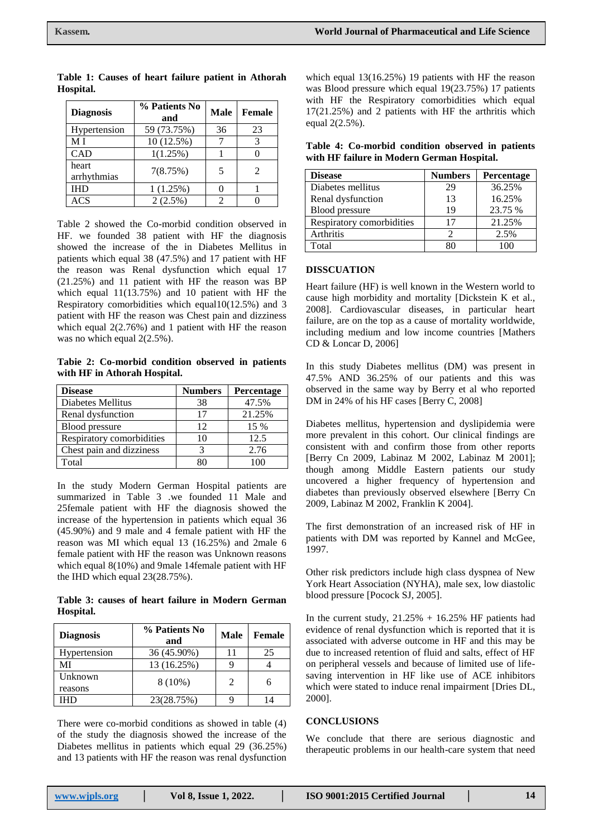| <b>Diagnosis</b>     | % Patients No<br>and | <b>Male</b> | Female                      |
|----------------------|----------------------|-------------|-----------------------------|
| Hypertension         | 59 (73.75%)          | 36          | 23                          |
| МI                   | 10 (12.5%)           |             |                             |
| <b>CAD</b>           | 1(1.25%)             |             |                             |
| heart<br>arrhythmias | 7(8.75%)             | 5           | $\mathcal{D}_{\mathcal{L}}$ |
| IHD                  | 1(1.25%)             |             |                             |
| ACS                  | $2(2.5\%)$           | 2           |                             |

**Table 1: Causes of heart failure patient in Athorah Hospital.**

Table 2 showed the Co-morbid condition observed in HF. we founded 38 patient with HF the diagnosis showed the increase of the in Diabetes Mellitus in patients which equal 38 (47.5%) and 17 patient with HF the reason was Renal dysfunction which equal 17 (21.25%) and 11 patient with HF the reason was BP which equal 11(13.75%) and 10 patient with HF the Respiratory comorbidities which equal10(12.5%) and 3 patient with HF the reason was Chest pain and dizziness which equal 2(2.76%) and 1 patient with HF the reason was no which equal 2(2.5%).

**Tabie 2: Co-morbid condition observed in patients with HF in Athorah Hospital.**

| <b>Disease</b>            | <b>Numbers</b> | Percentage |
|---------------------------|----------------|------------|
| Diabetes Mellitus         | 38             | 47.5%      |
| Renal dysfunction         | 17             | 21.25%     |
| <b>Blood</b> pressure     | 12             | 15 %       |
| Respiratory comorbidities | 10             | 12.5       |
| Chest pain and dizziness  | 3              | 2.76       |
| Total                     | ସା             | 100        |

In the study Modern German Hospital patients are summarized in Table 3 .we founded 11 Male and 25female patient with HF the diagnosis showed the increase of the hypertension in patients which equal 36 (45.90%) and 9 male and 4 female patient with HF the reason was MI which equal 13 (16.25%) and 2male 6 female patient with HF the reason was Unknown reasons which equal 8(10%) and 9male 14female patient with HF the IHD which equal 23(28.75%).

**Table 3: causes of heart failure in Modern German Hospital.**

| <b>Diagnosis</b>   | % Patients No<br>and | <b>Male</b> | Female |
|--------------------|----------------------|-------------|--------|
| Hypertension       | 36 (45.90%)          | 11          | 25     |
| MI                 | 13 (16.25%)          |             |        |
| Unknown<br>reasons | $8(10\%)$            | 2           | 6      |
| IHD                | 23(28.75%)           |             |        |

There were co-morbid conditions as showed in table (4) of the study the diagnosis showed the increase of the Diabetes mellitus in patients which equal 29 (36.25%) and 13 patients with HF the reason was renal dysfunction

which equal 13(16.25%) 19 patients with HF the reason was Blood pressure which equal 19(23.75%) 17 patients with HF the Respiratory comorbidities which equal 17(21.25%) and 2 patients with HF the arthritis which equal 2(2.5%).

| Table 4: Co-morbid condition observed in patients |  |  |
|---------------------------------------------------|--|--|
| with HF failure in Modern German Hospital.        |  |  |

| <b>Disease</b>            | <b>Numbers</b> | Percentage |
|---------------------------|----------------|------------|
| Diabetes mellitus         | 29             | 36.25%     |
| Renal dysfunction         | 13             | 16.25%     |
| <b>Blood</b> pressure     | 19             | 23.75 %    |
| Respiratory comorbidities | 17             | 21.25%     |
| Arthritis                 |                | 2.5%       |
| Total                     |                | 100        |

### **DISSCUATION**

Heart failure (HF) is well known in the Western world to cause high morbidity and mortality [Dickstein K et al., 2008]. Cardiovascular diseases, in particular heart failure, are on the top as a cause of mortality worldwide, including medium and low income countries [Mathers CD & Loncar D, 2006]

In this study Diabetes mellitus (DM) was present in 47.5% AND 36.25% of our patients and this was observed in the same way by Berry et al who reported DM in 24% of his HF cases [Berry C, 2008]

Diabetes mellitus, hypertension and dyslipidemia were more prevalent in this cohort. Our clinical findings are consistent with and confirm those from other reports [Berry Cn 2009, Labinaz M 2002, Labinaz M 2001]; though among Middle Eastern patients our study uncovered a higher frequency of hypertension and diabetes than previously observed elsewhere [Berry Cn 2009, Labinaz M 2002, Franklin K 2004].

The first demonstration of an increased risk of HF in patients with DM was reported by Kannel and McGee, 1997.

Other risk predictors include high class dyspnea of New York Heart Association (NYHA), male sex, low diastolic blood pressure [Pocock SJ, 2005].

In the current study,  $21.25% + 16.25%$  HF patients had evidence of renal dysfunction which is reported that it is associated with adverse outcome in HF and this may be due to increased retention of fluid and salts, effect of HF on peripheral vessels and because of limited use of lifesaving intervention in HF like use of ACE inhibitors which were stated to induce renal impairment [Dries DL, 2000].

### **CONCLUSIONS**

We conclude that there are serious diagnostic and therapeutic problems in our health-care system that need